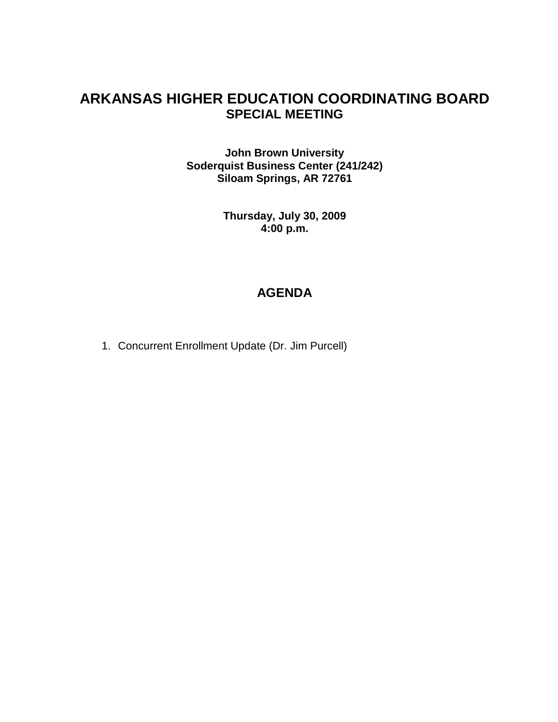#### **ARKANSAS HIGHER EDUCATION COORDINATING BOARD SPECIAL MEETING**

**John Brown University Soderquist Business Center (241/242) Siloam Springs, AR 72761**

> **Thursday, July 30, 2009 4:00 p.m.**

#### **AGENDA**

1. Concurrent Enrollment Update (Dr. Jim Purcell)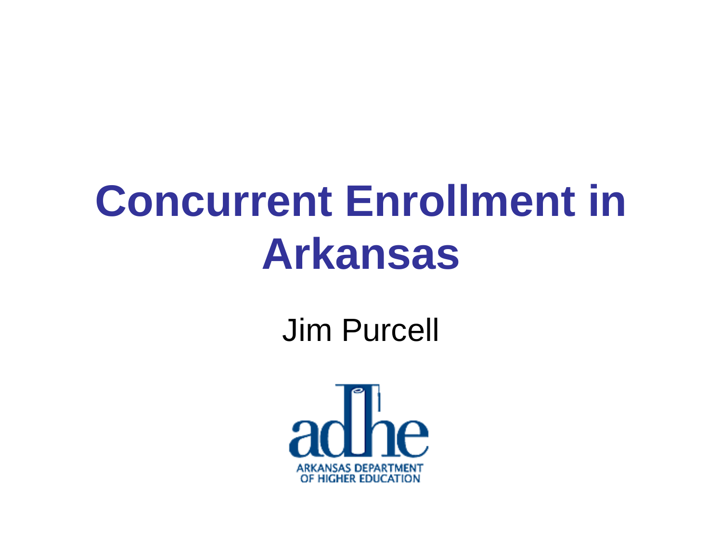### **Concurrent Enrollment in Arkansas**

Jim Purcell

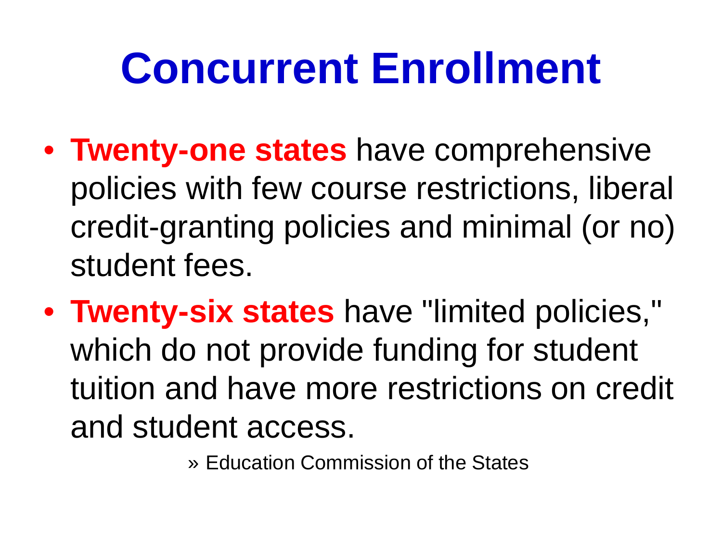### **Concurrent Enrollment**

- **Twenty-one states** have comprehensive policies with few course restrictions, liberal credit-granting policies and minimal (or no) student fees.
- **Twenty-six states** have "limited policies," which do not provide funding for student tuition and have more restrictions on credit and student access.

» Education Commission of the States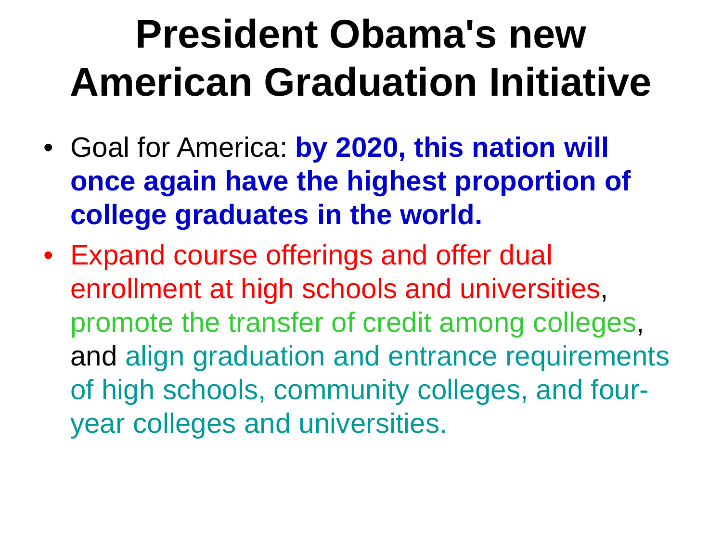### **President Obama's new American Graduation Initiative**

- Goal for America: **by 2020, this nation will once again have the highest proportion of college graduates in the world.**
- Expand course offerings and offer dual enrollment at high schools and universities, promote the transfer of credit among colleges, and align graduation and entrance requirements of high schools, community colleges, and fouryear colleges and universities.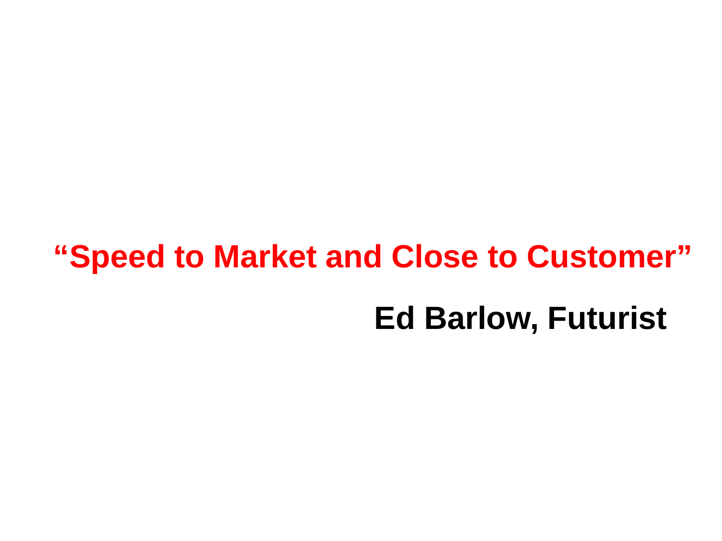### **"Speed to Market and Close to Customer" Ed Barlow, Futurist**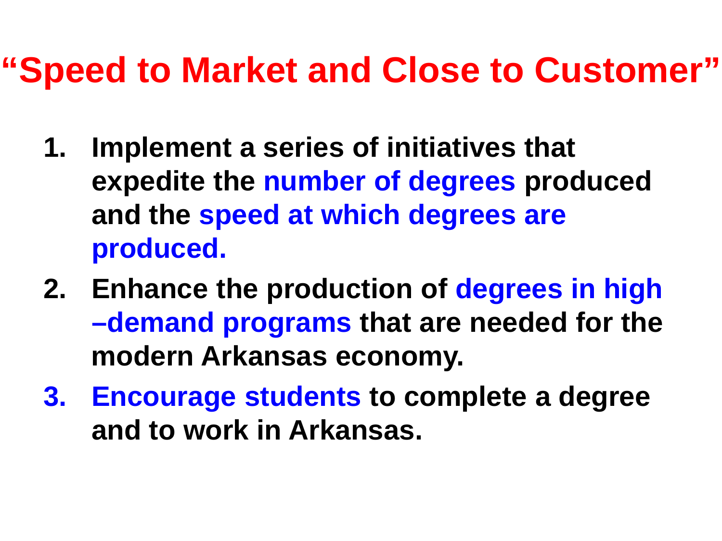### **"Speed to Market and Close to Customer"**

- **1. Implement a series of initiatives that expedite the number of degrees produced and the speed at which degrees are produced.**
- **2. Enhance the production of degrees in high –demand programs that are needed for the modern Arkansas economy.**
- **3. Encourage students to complete a degree and to work in Arkansas.**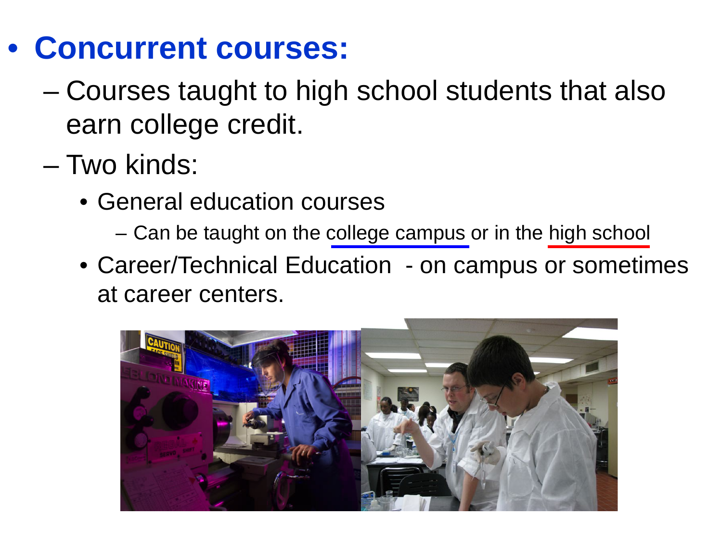- **Concurrent courses:**
	- Courses taught to high school students that also earn college credit.
	- Two kinds:
		- General education courses
			- Can be taught on the college campus or in the high school
		- Career/Technical Education on campus or sometimes at career centers.

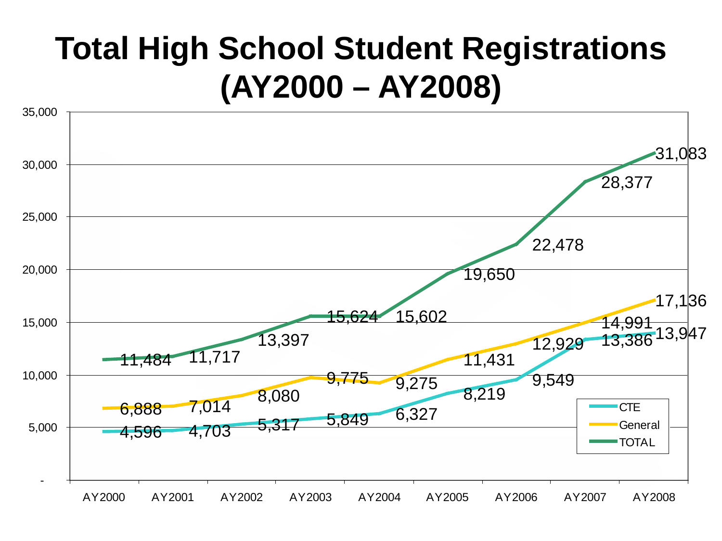#### **Total High School Student Registrations (AY2000 – AY2008)**

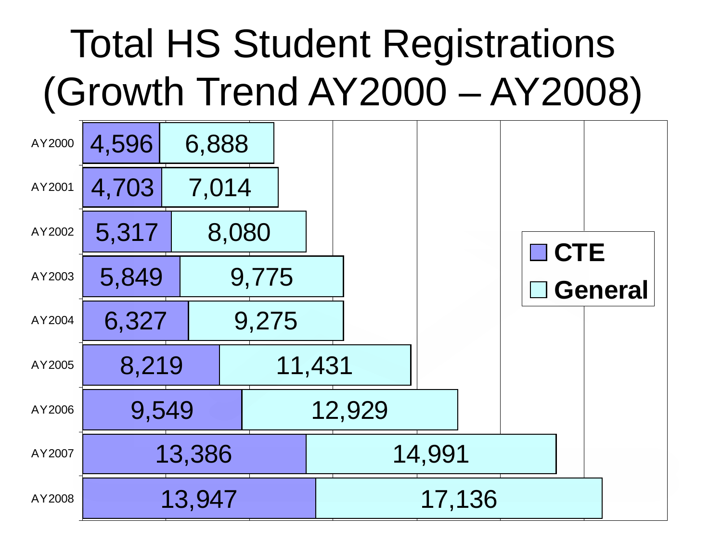### Total HS Student Registrations (Growth Trend AY2000 – AY2008)

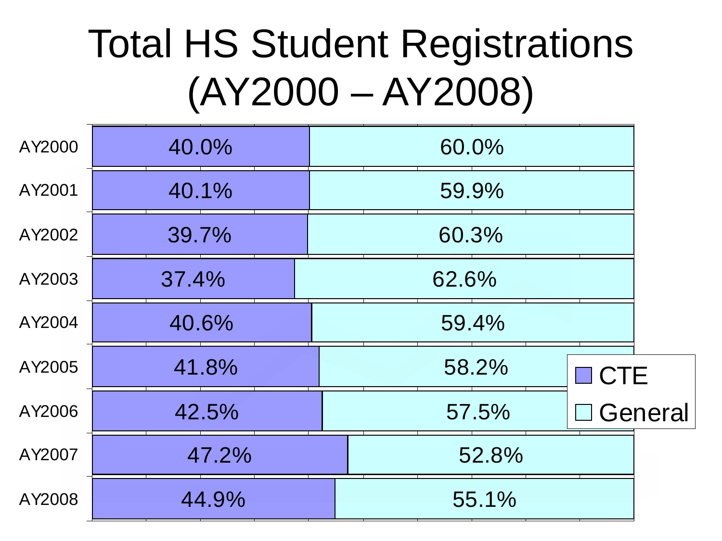### Total HS Student Registrations (AY2000 – AY2008)

| AY2000 | 40.0% | 60.0% |            |                |
|--------|-------|-------|------------|----------------|
|        |       |       |            |                |
| AY2001 | 40.1% | 59.9% |            |                |
| AY2002 | 39.7% | 60.3% |            |                |
| AY2003 | 37.4% | 62.6% |            |                |
| AY2004 | 40.6% | 59.4% |            |                |
| AY2005 | 41.8% | 58.2% | $\Box$ CTE |                |
| AY2006 | 42.5% | 57.5% |            | $\Box$ General |
| AY2007 | 47.2% | 52.8% |            |                |
| AY2008 | 44.9% | 55.1% |            |                |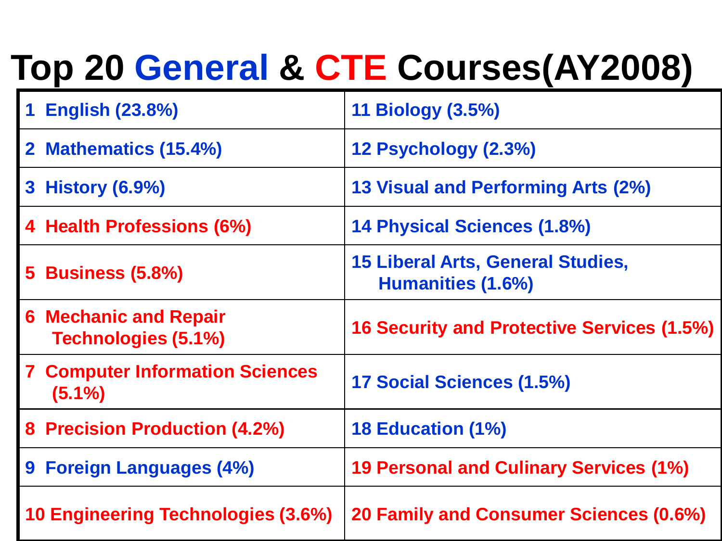### **Top 20 General & CTE Courses(AY2008)**

| <b>English (23.8%)</b>                              | 11 Biology (3.5%)                                             |
|-----------------------------------------------------|---------------------------------------------------------------|
| 2 Mathematics (15.4%)                               | 12 Psychology (2.3%)                                          |
| 3 History (6.9%)                                    | 13 Visual and Performing Arts (2%)                            |
| 4 Health Professions (6%)                           | 14 Physical Sciences (1.8%)                                   |
| <b>5 Business (5.8%)</b>                            | <b>15 Liberal Arts, General Studies,</b><br>Humanities (1.6%) |
| <b>6 Mechanic and Repair</b><br>Technologies (5.1%) | <b>16 Security and Protective Services (1.5%)</b>             |
| <b>7 Computer Information Sciences</b><br>$(5.1\%)$ | 17 Social Sciences (1.5%)                                     |
| 8 Precision Production (4.2%)                       | <b>18 Education (1%)</b>                                      |
| 9 Foreign Languages (4%)                            | <b>19 Personal and Culinary Services (1%)</b>                 |
| <b>10 Engineering Technologies (3.6%)</b>           | 20 Family and Consumer Sciences (0.6%)                        |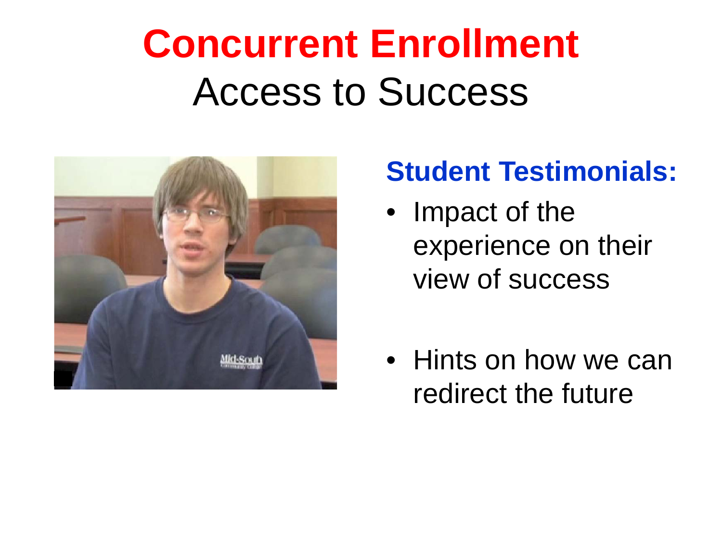### **Concurrent Enrollment** Access to Success



#### **Student Testimonials:**

- Impact of the experience on their view of success
- Hints on how we can redirect the future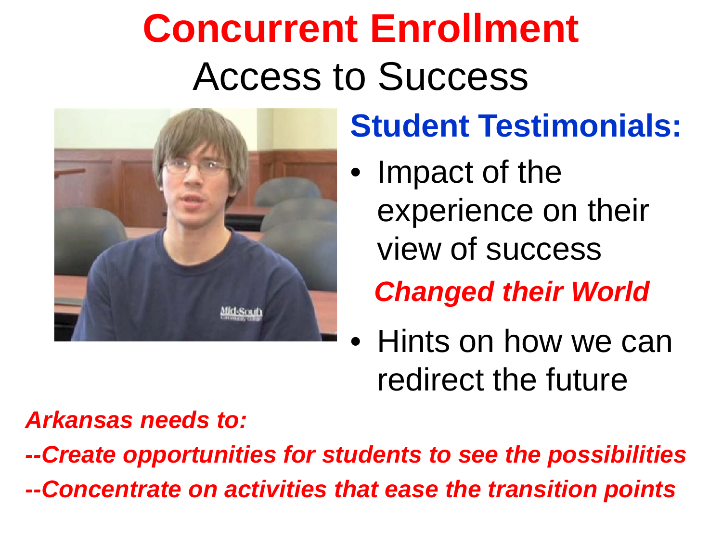### **Concurrent Enrollment** Access to Success



### **Student Testimonials:**

• Impact of the experience on their view of success

*Changed their World*

• Hints on how we can redirect the future

#### *Arkansas needs to:*

*--Create opportunities for students to see the possibilities --Concentrate on activities that ease the transition points*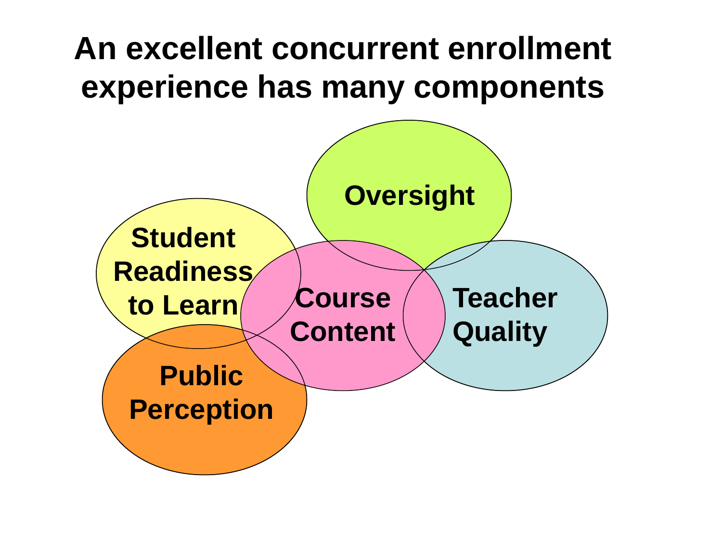#### **An excellent concurrent enrollment experience has many components**

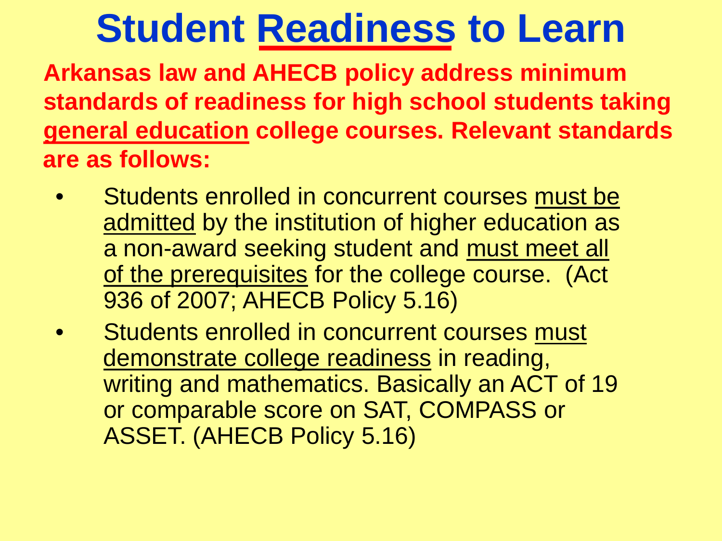### **Student Readiness to Learn**

**Arkansas law and AHECB policy address minimum standards of readiness for high school students taking general education college courses. Relevant standards are as follows:**

- Students enrolled in concurrent courses must be admitted by the institution of higher education as a non-award seeking student and must meet all of the prerequisites for the college course. (Act 936 of 2007; AHECB Policy 5.16)
- Students enrolled in concurrent courses must demonstrate college readiness in reading, writing and mathematics. Basically an ACT of 19 or comparable score on SAT, COMPASS or ASSET. (AHECB Policy 5.16)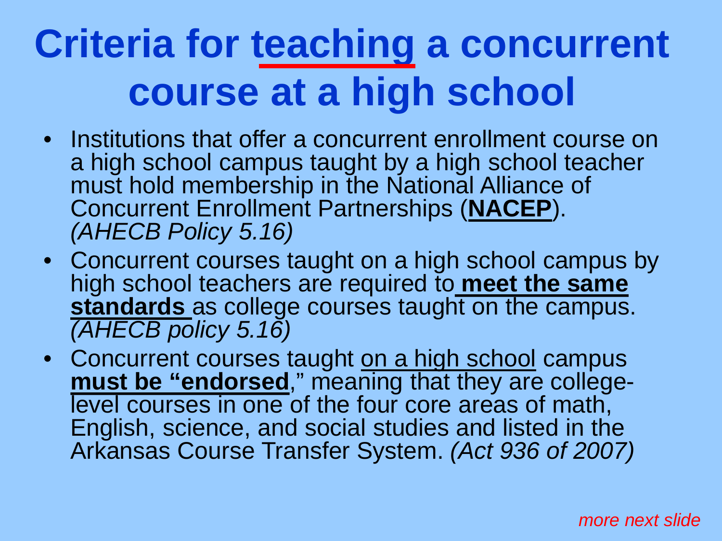### **Criteria for teaching a concurrent course at a high school**

- Institutions that offer a concurrent enrollment course on a high school campus taught by a high school teacher must hold membership in the National Alliance of Concurrent Enrollment Partnerships (**NACEP**). *(AHECB Policy 5.16)*
- Concurrent courses taught on a high school campus by high school teachers are required to **meet the same standards** as college courses taught on the campus. *(AHECB policy 5.16)*
- Concurrent courses taught on a high school campus<br> **nust be "endorsed**," meaning that they are collegelevel courses in one of the four core areas of math, English, science, and social studies and listed in the Arkansas Course Transfer System. *(Act 936 of 2007)*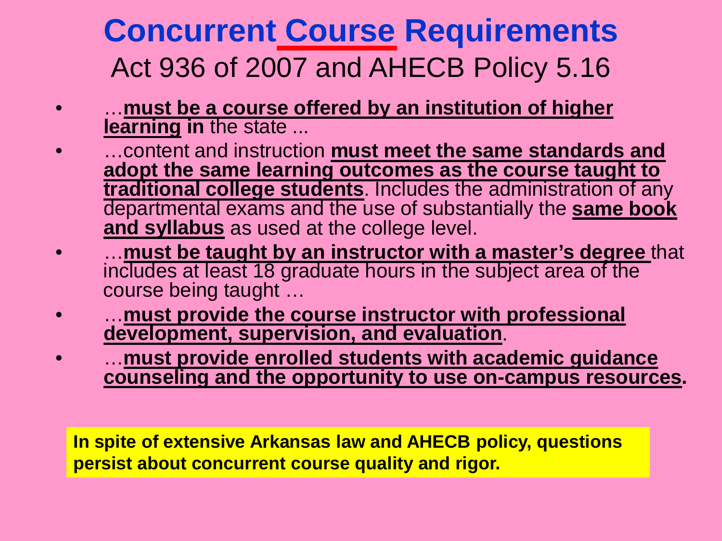#### **Concurrent Course Requirements** Act 936 of 2007 and AHECB Policy 5.16

- …**must be a course offered by an institution of higher learning in** the state ...
- …content and instruction **must meet the same standards and adopt the same learning outcomes as the course taught to traditional college students**. Includes the administration of any departmental exams and the use of substantially the **same book and syllabus** as used at the college level.
- …**must be taught by an instructor with a master's degree** that includes at least 18 graduate hours in the subject area of the course being taught …
- …**must provide the course instructor with professional development, supervision, and evaluation**.
- …**must provide enrolled students with academic guidance counseling and the opportunity to use on-campus resources.**

**In spite of extensive Arkansas law and AHECB policy, questions persist about concurrent course quality and rigor.**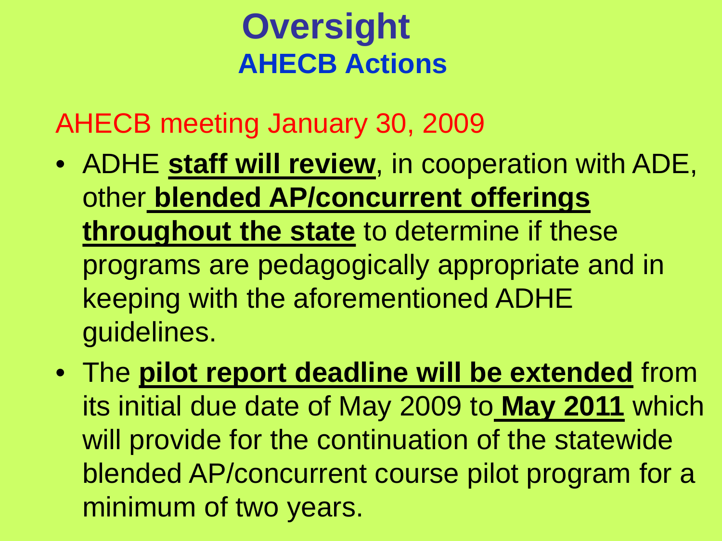#### **AHECB Actions Oversight**

AHECB meeting January 30, 2009

- ADHE **staff will review**, in cooperation with ADE, other **blended AP/concurrent offerings throughout the state** to determine if these programs are pedagogically appropriate and in keeping with the aforementioned ADHE guidelines.
- The **pilot report deadline will be extended** from its initial due date of May 2009 to **May 2011** which will provide for the continuation of the statewide blended AP/concurrent course pilot program for a minimum of two years.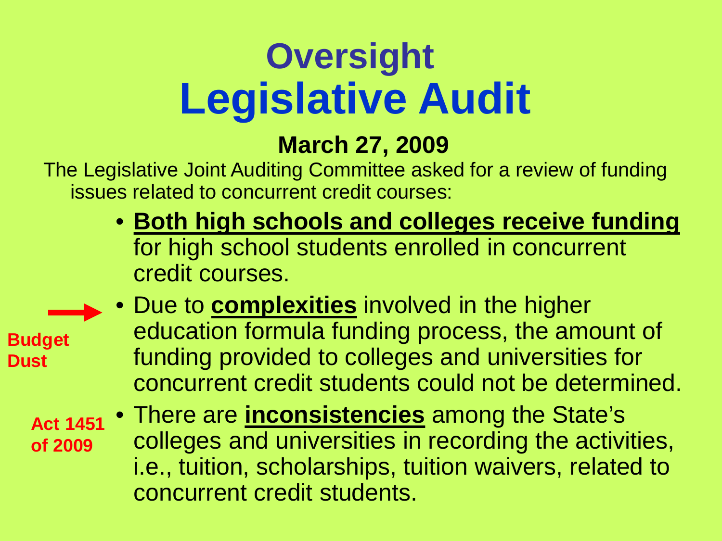### **Legislative Audit Oversight**

#### **March 27, 2009**

The Legislative Joint Auditing Committee asked for a review of funding issues related to concurrent credit courses:

> • **Both high schools and colleges receive funding** for high school students enrolled in concurrent credit courses.

**Budget Dust**

• Due to **complexities** involved in the higher education formula funding process, the amount of funding provided to colleges and universities for concurrent credit students could not be determined.

**Act 1451 of 2009**

• There are **inconsistencies** among the State's colleges and universities in recording the activities, i.e., tuition, scholarships, tuition waivers, related to concurrent credit students.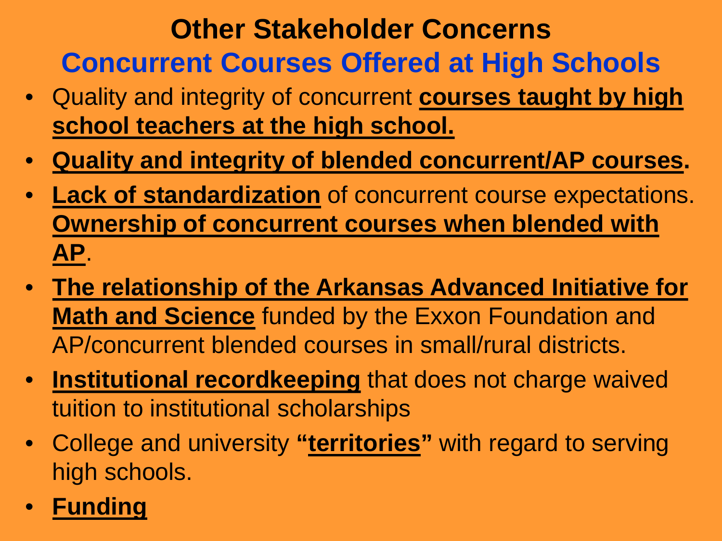#### **Other Stakeholder Concerns Concurrent Courses Offered at High Schools**

- Quality and integrity of concurrent **courses taught by high school teachers at the high school.**
- **Quality and integrity of blended concurrent/AP courses.**
- **Lack of standardization** of concurrent course expectations. **Ownership of concurrent courses when blended with AP**.
- **The relationship of the Arkansas Advanced Initiative for Math and Science** funded by the Exxon Foundation and AP/concurrent blended courses in small/rural districts.
- **Institutional recordkeeping** that does not charge waived tuition to institutional scholarships
- College and university **"territories"** with regard to serving high schools.
- **Funding**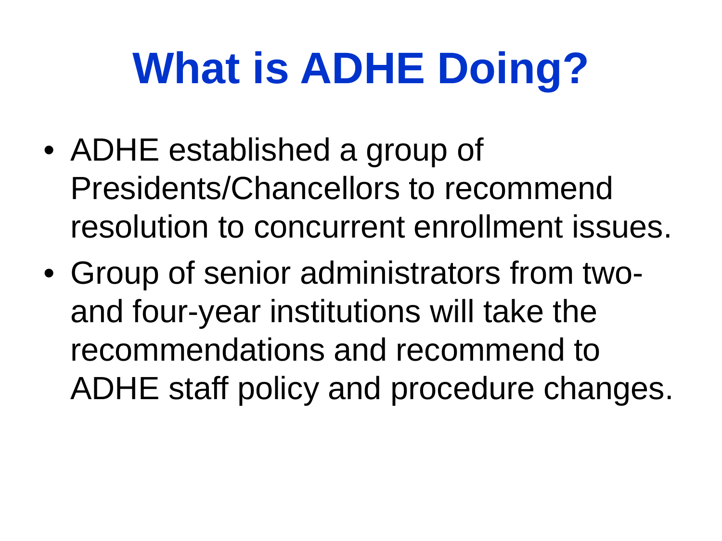# **What is ADHE Doing?**

- ADHE established a group of Presidents/Chancellors to recommend resolution to concurrent enrollment issues.
- Group of senior administrators from twoand four-year institutions will take the recommendations and recommend to ADHE staff policy and procedure changes.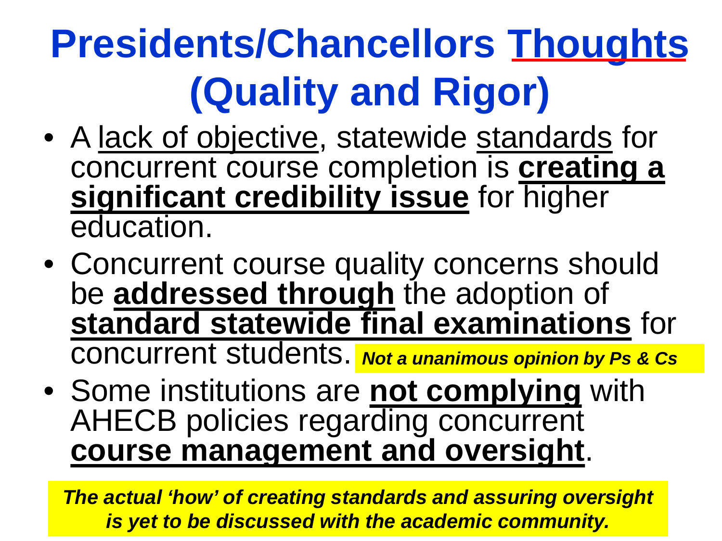### **Presidents/Chancellors Thoughts (Quality and Rigor)**

- A lack of objective, statewide standards for concurrent course completion is **creating a significant credibility issue** for higher education.
- Concurrent course quality concerns should be **addressed through** the adoption of **standard statewide final examinations** for concurrent students. *Not a unanimous opinion by Ps & Cs*
- Some institutions are **not complying** with AHECB policies regarding concurrent **course management and oversight**.

*The actual 'how' of creating standards and assuring oversight is yet to be discussed with the academic community.*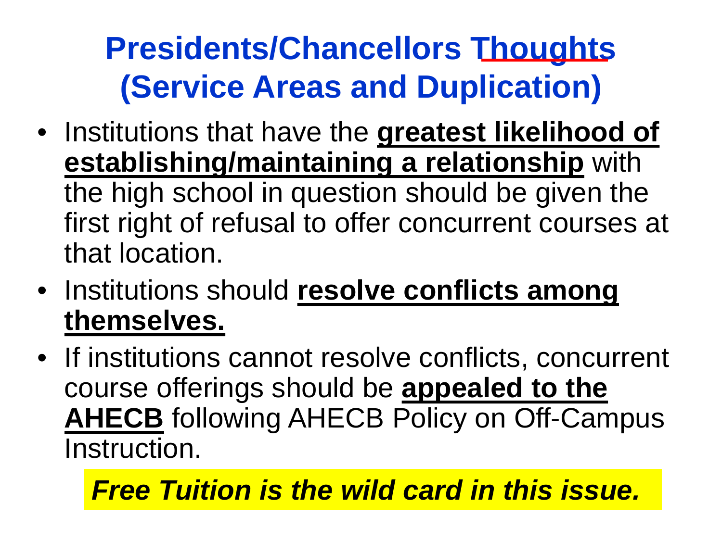### **Presidents/Chancellors Thoughts (Service Areas and Duplication)**

- Institutions that have the **greatest likelihood of establishing/maintaining a relationship** with the high school in question should be given the first right of refusal to offer concurrent courses at that location.
- Institutions should **resolve conflicts among themselves.**
- If institutions cannot resolve conflicts, concurrent course offerings should be **appealed to the AHECB** following AHECB Policy on Off-Campus Instruction.

#### *Free Tuition is the wild card in this issue.*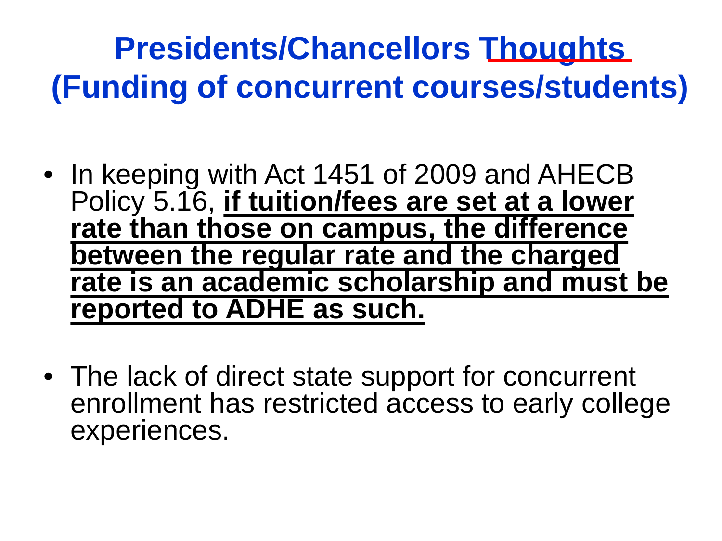### **Presidents/Chancellors Thoughts (Funding of concurrent courses/students)**

- In keeping with Act 1451 of 2009 and AHECB Policy 5.16, **if tuition/fees are set at a lower rate than those on campus, the difference between the regular rate and the charged rate is an academic scholarship and must be reported to ADHE as such.**
- The lack of direct state support for concurrent enrollment has restricted access to early college experiences.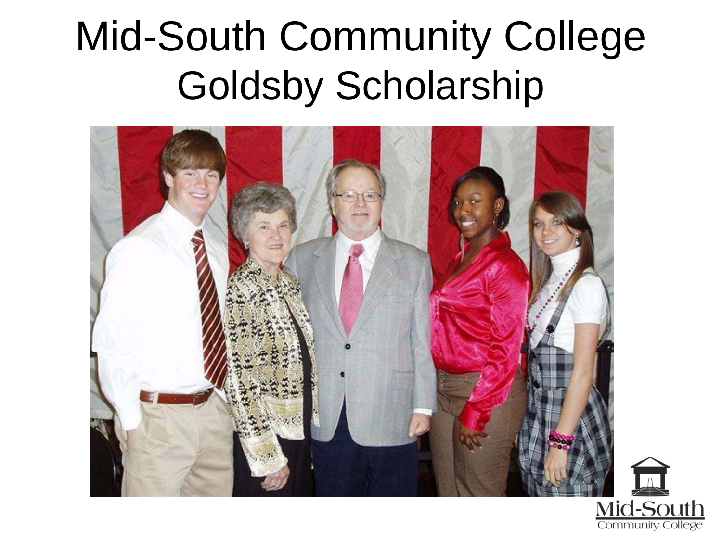### Mid-South Community College Goldsby Scholarship



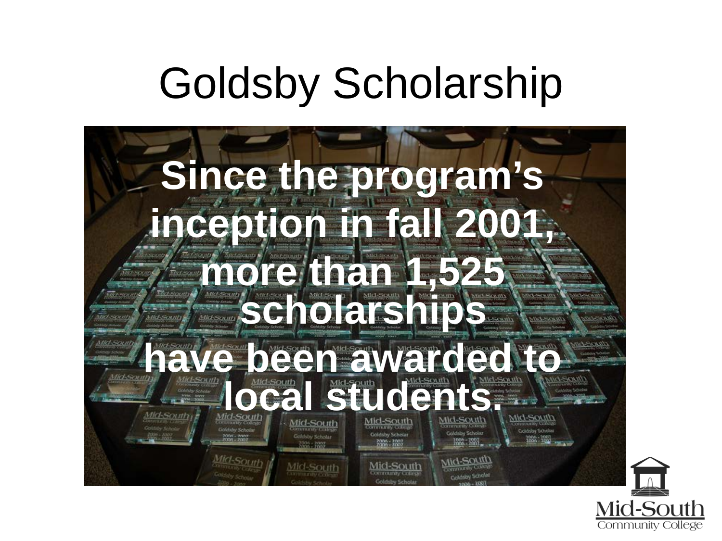### Goldsby Scholarship



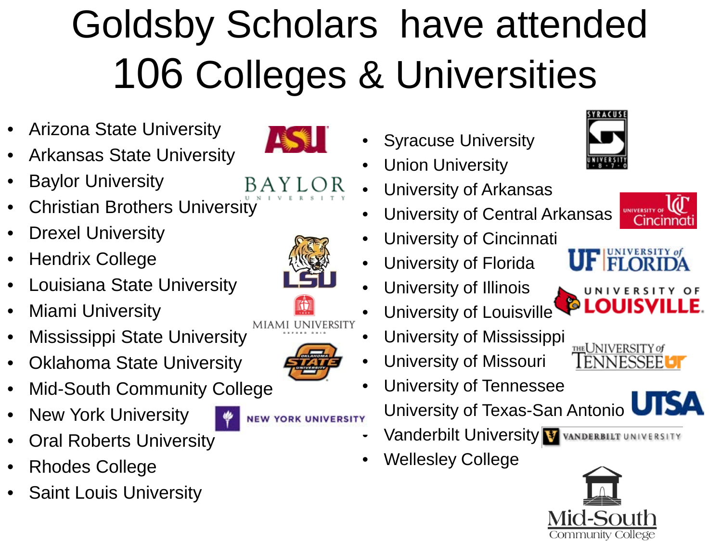## Goldsby Scholars have attended 106 Colleges & Universities

- Arizona State University
- Arkansas State University
- **Baylor University**
- **Christian Brothers University**
- **Drexel University**
- Hendrix College
- Louisiana State University
- Miami University
- **Mississippi State University**
- Oklahoma State University
- Mid-South Community College
- New York University
- **Oral Roberts University**
- Rhodes College
- **Saint Louis University**



- $AYLO$
- University of Central Arkansas

• University of Arkansas

• University of Cincinnati

**Syracuse University** 

**Union University** 

- University of Florida
- University of Illinois
- University of Louisville
- University of Mississippi
- University of Missouri
- University of Tennessee **NEW YORK UNIVERSITY** University of Texas-San Antonio
	- **Vanderbilt University VANDERBILT UNIVERSITY**
	- Wellesley College











THE UNIVERSITY of **ENNESSEE** 



miami ui

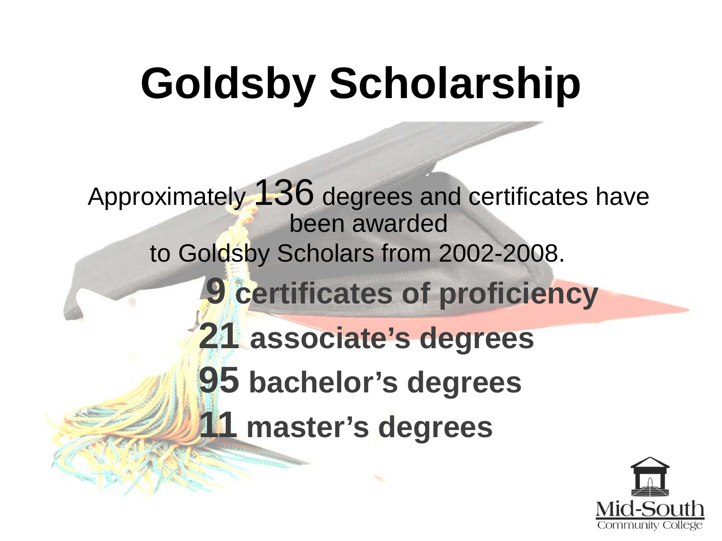# **Goldsby Scholarship**

Approximately 136 degrees and certificates have been awarded to Goldsby Scholars from 2002-2008. **9 certificates of proficiency 21 associate's degrees 95 bachelor's degrees 11 master's degrees**

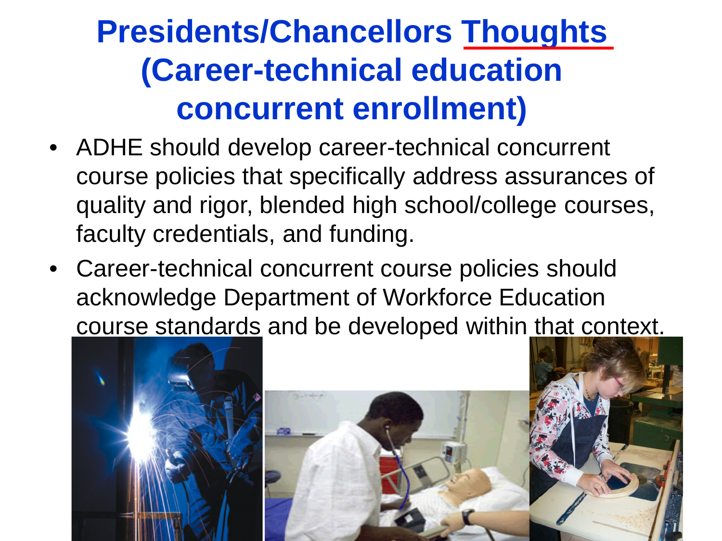#### **Presidents/Chancellors Thoughts (Career-technical education concurrent enrollment)**

- ADHE should develop career-technical concurrent course policies that specifically address assurances of quality and rigor, blended high school/college courses, faculty credentials, and funding.
- Career-technical concurrent course policies should acknowledge Department of Workforce Education course standards and be developed within that context.